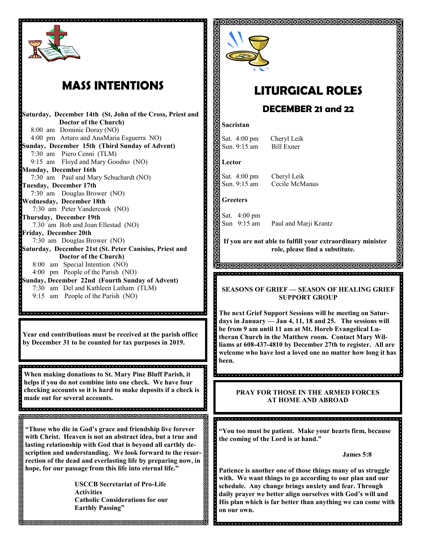

## **MASS INTENTIONS**

**Saturday, December 14th (St. John of the Cross, Priest and Doctor of the Church)** 8:00 am Dominic Doray (NO) 4:00 pm Arturo and AnaMaria Esguerra NO) **Sunday, December 15th (Third Sunday of Advent)** 7:30 am Piero Cenni (TLM) 9:15 am Floyd and Mary Goodno (NO) **Monday, December 16th**  7:30 am Paul and Mary Schuchardt (NO) **Tuesday, December 17th**  7:30 am Douglas Brower (NO) **Wednesday, December 18th**  7:30 am Peter Vandercook (NO) **Thursday, December 19th** 7.30 am Bob and Joan Ellestad (NO) **Friday, December 20th** 7:30 am Douglas Brower (NO) **Saturday, December 21st (St. Peter Canisius, Priest and Doctor of the Church)** 8:00 am Special Intention (NO) 4:00 pm People of the Parish (NO) **Sunday, December 22nd (Fourth Sunday of Advent)**  7:30 am Del and Kathleen Latham (TLM) 9:15 am People of the Parish (NO)

**Year end contributions must be received at the parish office by December 31 to be counted for tax purposes in 2019.**

**When making donations to St. Mary Pine Bluff Parish, it helps if you do not combine into one check. We have four checking accounts so it is hard to make deposits if a check is made out for several accounts.**

**RRRRRRRRRRRRRRRRRRRRRRRRRRRRRRF** 

**"Those who die in God's grace and friendship live forever with Christ. Heaven is not an abstract idea, but a true and lasting relationship with God that is beyond all earthly description and understanding. We look forward to the resurrection of the dead and everlasting life by preparing now, in hope, for our passage from this life into eternal life."**

> **USCCB Secretariat of Pro-Life Activities Catholic Considerations for our Earthly Passing"**



# **LITURGICAL ROLES**

ଗଗଗଗଗଗଗଗଗଗଗଗଗଗଗଗଗଗଗଗଗଗଗଗଗଗଗଗଗ

### **DECEMBER 21 and 22**

#### **Sacristan**

Sat. 4:00 pm Cheryl Leik Sun. 9:15 am Bill Exner

#### **Lector**

Sat. 4:00 pm Cheryl Leik Sun. 9:15 am Cecile McManus

#### **Greeters**

Sat. 4:00 pm Sun 9:15 am Paul and Marji Krantz

**If you are not able to fulfill your extraordinary minister role, please find a substitute.** 

**AMMAMMAMMAMMAMMAMMAMMAMMAM** <u>.</u><br>La proprieta del distribuir e la ciencia del distribuir del distribuir de la ciencia distribuir.

#### **SEASONS OF GRIEF — SEASON OF HEALING GRIEF SUPPORT GROUP**

**The next Grief Support Sessions will be meeting on Saturdays in January — Jan 4, 11, 18 and 25. The sessions will be from 9 am until 11 am at Mt. Horeb Evangelical Lutheran Church in the Matthew room. Contact Mary Williams at 608-437-4810 by December 27th to register. All are welcome who have lost a loved one no matter how long it has been.** 

#### **PRAY FOR THOSE IN THE ARMED FORCES AT HOME AND ABROAD**

.<br>La proprieta de la proprieta de la proprieta de la proprieta de la proprieta de la proprieta de la proprieta **"You too must be patient. Make your hearts firm, because** 

**the coming of the Lord is at hand."**

**James 5:8**

**Patience is another one of those things many of us struggle with. We want things to go according to our plan and our schedule. Any change brings anxiety and fear. Through daily prayer we better align ourselves with God's will and His plan which is far better than anything we can come with on our own.**